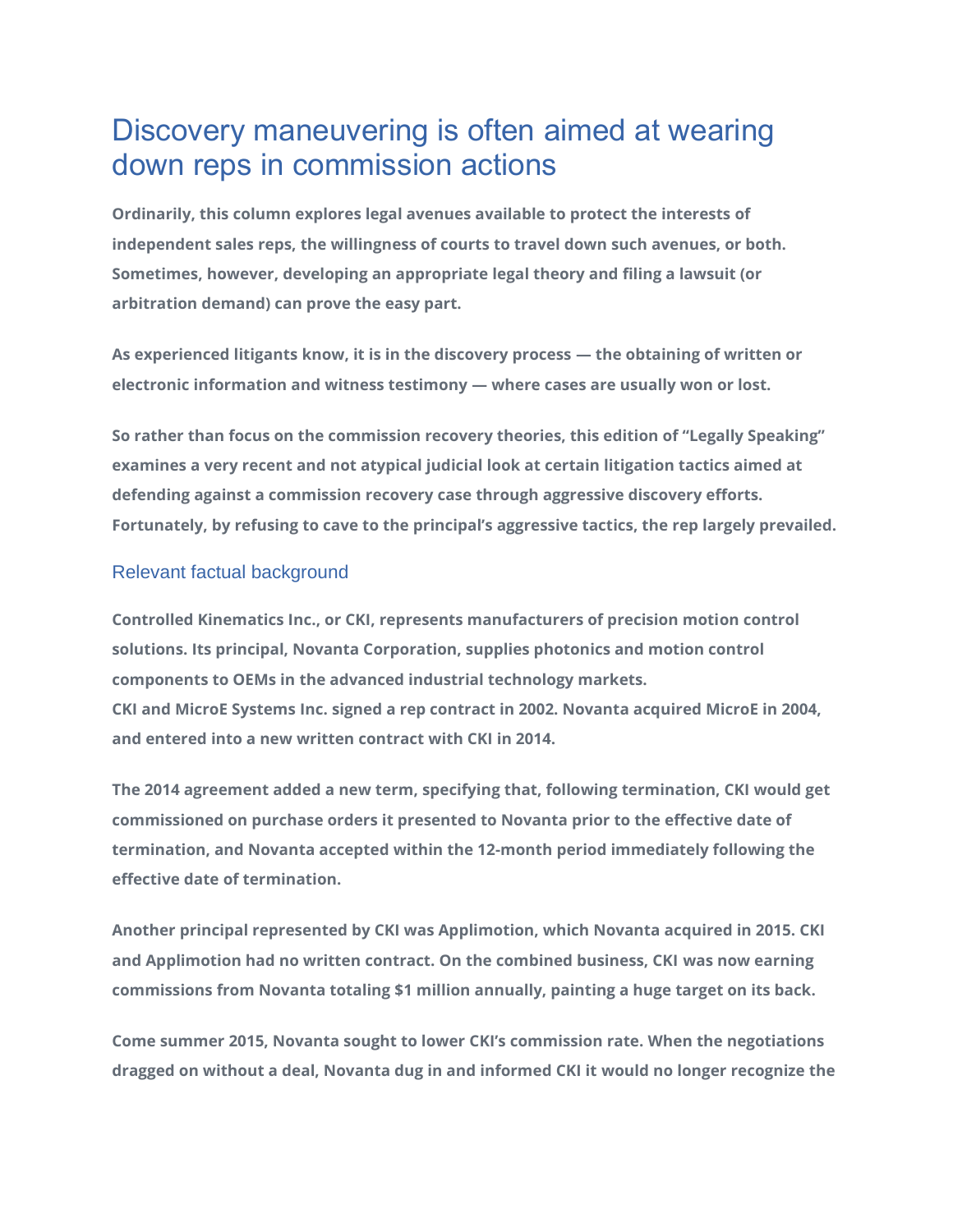# Discovery maneuvering is often aimed at wearing down reps in commission actions

**Ordinarily, this column explores legal avenues available to protect the interests of independent sales reps, the willingness of courts to travel down such avenues, or both. Sometimes, however, developing an appropriate legal theory and filing a lawsuit (or arbitration demand) can prove the easy part.**

**As experienced litigants know, it is in the discovery process — the obtaining of written or electronic information and witness testimony — where cases are usually won or lost.**

**So rather than focus on the commission recovery theories, this edition of "Legally Speaking" examines a very recent and not atypical judicial look at certain litigation tactics aimed at defending against a commission recovery case through aggressive discovery efforts. Fortunately, by refusing to cave to the principal's aggressive tactics, the rep largely prevailed.**

## Relevant factual background

**Controlled Kinematics Inc., or CKI, represents manufacturers of precision motion control solutions. Its principal, Novanta Corporation, supplies photonics and motion control components to OEMs in the advanced industrial technology markets. CKI and MicroE Systems Inc. signed a rep contract in 2002. Novanta acquired MicroE in 2004, and entered into a new written contract with CKI in 2014.**

**The 2014 agreement added a new term, specifying that, following termination, CKI would get commissioned on purchase orders it presented to Novanta prior to the effective date of termination, and Novanta accepted within the 12-month period immediately following the effective date of termination.**

**Another principal represented by CKI was Applimotion, which Novanta acquired in 2015. CKI and Applimotion had no written contract. On the combined business, CKI was now earning commissions from Novanta totaling \$1 million annually, painting a huge target on its back.**

**Come summer 2015, Novanta sought to lower CKI's commission rate. When the negotiations dragged on without a deal, Novanta dug in and informed CKI it would no longer recognize the**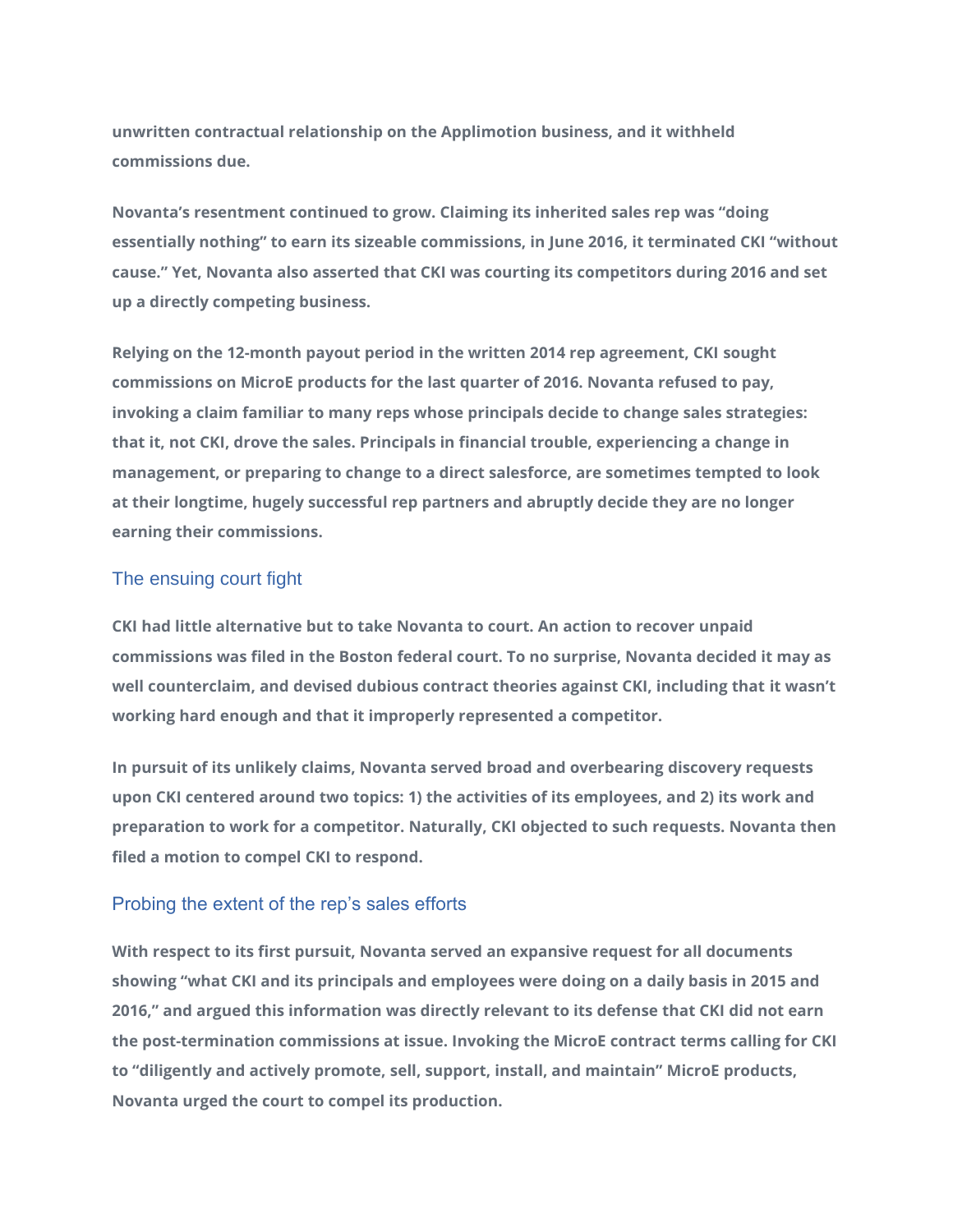**unwritten contractual relationship on the Applimotion business, and it withheld commissions due.**

**Novanta's resentment continued to grow. Claiming its inherited sales rep was "doing essentially nothing" to earn its sizeable commissions, in June 2016, it terminated CKI "without cause." Yet, Novanta also asserted that CKI was courting its competitors during 2016 and set up a directly competing business.**

**Relying on the 12-month payout period in the written 2014 rep agreement, CKI sought commissions on MicroE products for the last quarter of 2016. Novanta refused to pay, invoking a claim familiar to many reps whose principals decide to change sales strategies: that it, not CKI, drove the sales. Principals in financial trouble, experiencing a change in management, or preparing to change to a direct salesforce, are sometimes tempted to look at their longtime, hugely successful rep partners and abruptly decide they are no longer earning their commissions.**

### The ensuing court fight

**CKI had little alternative but to take Novanta to court. An action to recover unpaid commissions was filed in the Boston federal court. To no surprise, Novanta decided it may as well counterclaim, and devised dubious contract theories against CKI, including that it wasn't working hard enough and that it improperly represented a competitor.**

**In pursuit of its unlikely claims, Novanta served broad and overbearing discovery requests upon CKI centered around two topics: 1) the activities of its employees, and 2) its work and preparation to work for a competitor. Naturally, CKI objected to such requests. Novanta then filed a motion to compel CKI to respond.**

## Probing the extent of the rep's sales efforts

**With respect to its first pursuit, Novanta served an expansive request for all documents showing "what CKI and its principals and employees were doing on a daily basis in 2015 and 2016," and argued this information was directly relevant to its defense that CKI did not earn the post-termination commissions at issue. Invoking the MicroE contract terms calling for CKI to "diligently and actively promote, sell, support, install, and maintain" MicroE products, Novanta urged the court to compel its production.**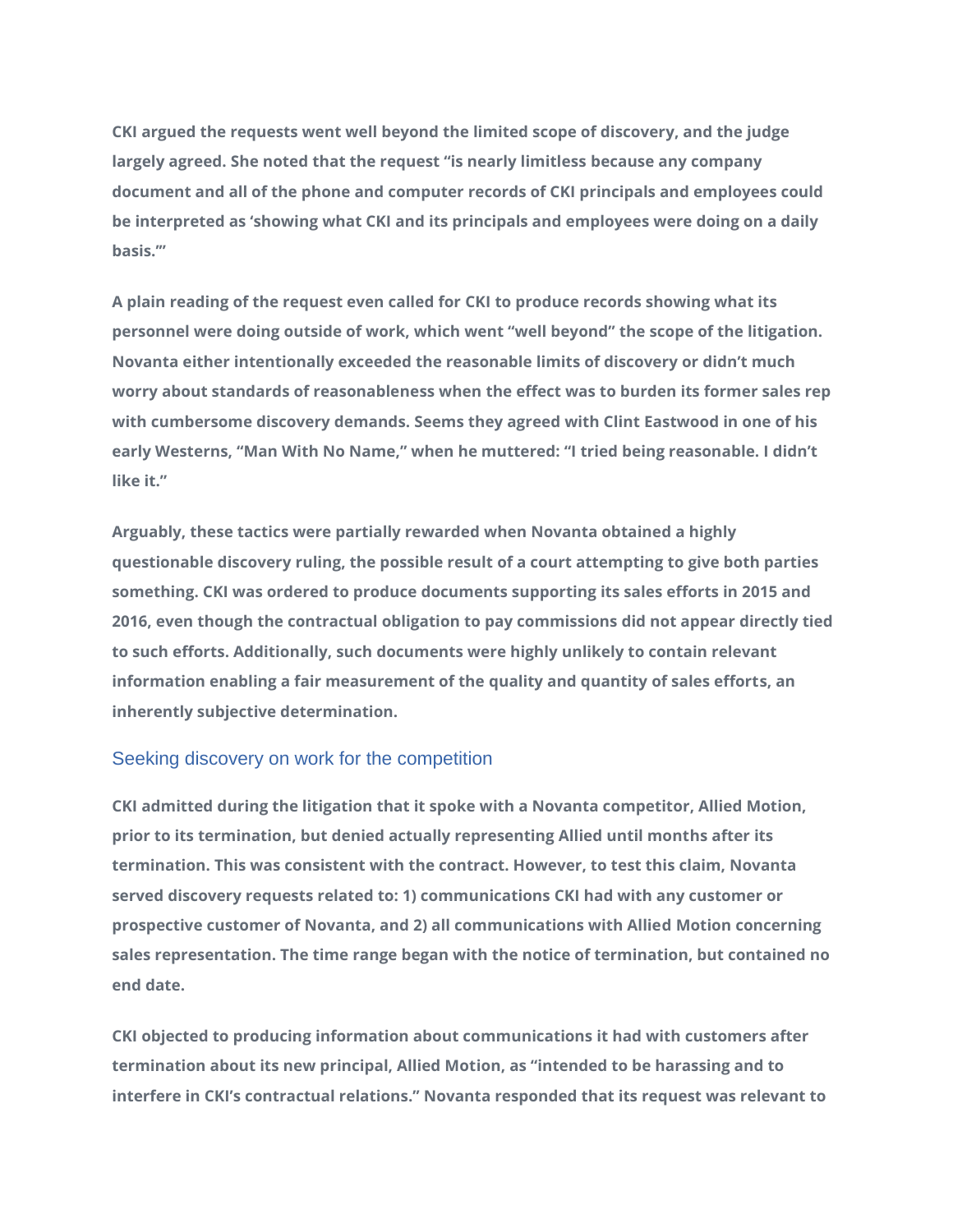**CKI argued the requests went well beyond the limited scope of discovery, and the judge largely agreed. She noted that the request "is nearly limitless because any company document and all of the phone and computer records of CKI principals and employees could be interpreted as 'showing what CKI and its principals and employees were doing on a daily basis.'"**

**A plain reading of the request even called for CKI to produce records showing what its personnel were doing outside of work, which went "well beyond" the scope of the litigation. Novanta either intentionally exceeded the reasonable limits of discovery or didn't much worry about standards of reasonableness when the effect was to burden its former sales rep with cumbersome discovery demands. Seems they agreed with Clint Eastwood in one of his early Westerns, "Man With No Name," when he muttered: "I tried being reasonable. I didn't like it."**

**Arguably, these tactics were partially rewarded when Novanta obtained a highly questionable discovery ruling, the possible result of a court attempting to give both parties something. CKI was ordered to produce documents supporting its sales efforts in 2015 and 2016, even though the contractual obligation to pay commissions did not appear directly tied to such efforts. Additionally, such documents were highly unlikely to contain relevant information enabling a fair measurement of the quality and quantity of sales efforts, an inherently subjective determination.**

#### Seeking discovery on work for the competition

**CKI admitted during the litigation that it spoke with a Novanta competitor, Allied Motion, prior to its termination, but denied actually representing Allied until months after its termination. This was consistent with the contract. However, to test this claim, Novanta served discovery requests related to: 1) communications CKI had with any customer or prospective customer of Novanta, and 2) all communications with Allied Motion concerning sales representation. The time range began with the notice of termination, but contained no end date.**

**CKI objected to producing information about communications it had with customers after termination about its new principal, Allied Motion, as "intended to be harassing and to interfere in CKI's contractual relations." Novanta responded that its request was relevant to**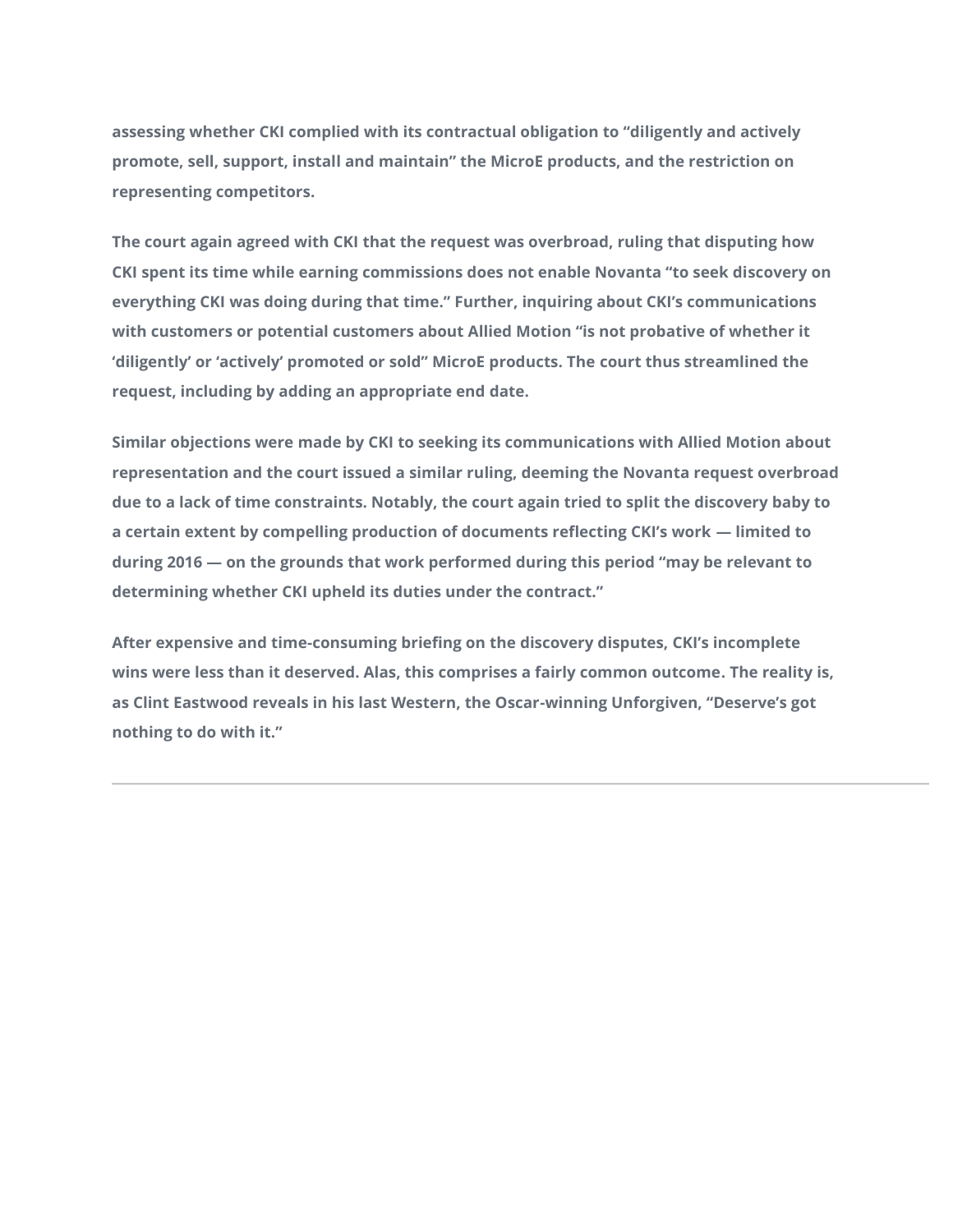**assessing whether CKI complied with its contractual obligation to "diligently and actively promote, sell, support, install and maintain" the MicroE products, and the restriction on representing competitors.**

**The court again agreed with CKI that the request was overbroad, ruling that disputing how CKI spent its time while earning commissions does not enable Novanta "to seek discovery on everything CKI was doing during that time." Further, inquiring about CKI's communications with customers or potential customers about Allied Motion "is not probative of whether it 'diligently' or 'actively' promoted or sold" MicroE products. The court thus streamlined the request, including by adding an appropriate end date.**

**Similar objections were made by CKI to seeking its communications with Allied Motion about representation and the court issued a similar ruling, deeming the Novanta request overbroad due to a lack of time constraints. Notably, the court again tried to split the discovery baby to a certain extent by compelling production of documents reflecting CKI's work — limited to during 2016 — on the grounds that work performed during this period "may be relevant to determining whether CKI upheld its duties under the contract."**

**After expensive and time-consuming briefing on the discovery disputes, CKI's incomplete wins were less than it deserved. Alas, this comprises a fairly common outcome. The reality is, as Clint Eastwood reveals in his last Western, the Oscar-winning Unforgiven, "Deserve's got nothing to do with it."**